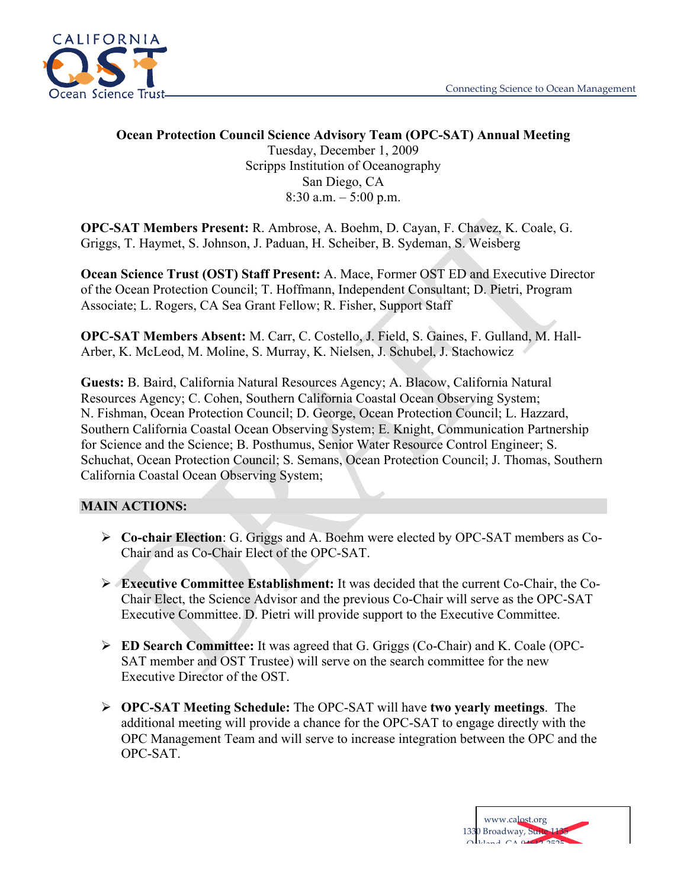

### **Ocean Protection Council Science Advisory Team (OPC-SAT) Annual Meeting** Tuesday, December 1, 2009 Scripps Institution of Oceanography San Diego, CA 8:30 a.m.  $-5:00$  p.m.

**OPC-SAT Members Present:** R. Ambrose, A. Boehm, D. Cayan, F. Chavez, K. Coale, G. Griggs, T. Haymet, S. Johnson, J. Paduan, H. Scheiber, B. Sydeman, S. Weisberg

**Ocean Science Trust (OST) Staff Present:** A. Mace, Former OST ED and Executive Director of the Ocean Protection Council; T. Hoffmann, Independent Consultant; D. Pietri, Program Associate; L. Rogers, CA Sea Grant Fellow; R. Fisher, Support Staff

**OPC-SAT Members Absent:** M. Carr, C. Costello, J. Field, S. Gaines, F. Gulland, M. Hall-Arber, K. McLeod, M. Moline, S. Murray, K. Nielsen, J. Schubel, J. Stachowicz

**Guests:** B. Baird, California Natural Resources Agency; A. Blacow, California Natural Resources Agency; C. Cohen, Southern California Coastal Ocean Observing System; N. Fishman, Ocean Protection Council; D. George, Ocean Protection Council; L. Hazzard, Southern California Coastal Ocean Observing System; E. Knight, Communication Partnership for Science and the Science; B. Posthumus, Senior Water Resource Control Engineer; S. Schuchat, Ocean Protection Council; S. Semans, Ocean Protection Council; J. Thomas, Southern California Coastal Ocean Observing System;

#### **MAIN ACTIONS:**

- ! **Co-chair Election**: G. Griggs and A. Boehm were elected by OPC-SAT members as Co-Chair and as Co-Chair Elect of the OPC-SAT.
- ! **Executive Committee Establishment:** It was decided that the current Co-Chair, the Co-Chair Elect, the Science Advisor and the previous Co-Chair will serve as the OPC-SAT Executive Committee. D. Pietri will provide support to the Executive Committee.
- ! **ED Search Committee:** It was agreed that G. Griggs (Co-Chair) and K. Coale (OPC-SAT member and OST Trustee) will serve on the search committee for the new Executive Director of the OST.
- ! **OPC-SAT Meeting Schedule:** The OPC-SAT will have **two yearly meetings**. The additional meeting will provide a chance for the OPC-SAT to engage directly with the OPC Management Team and will serve to increase integration between the OPC and the OPC-SAT.

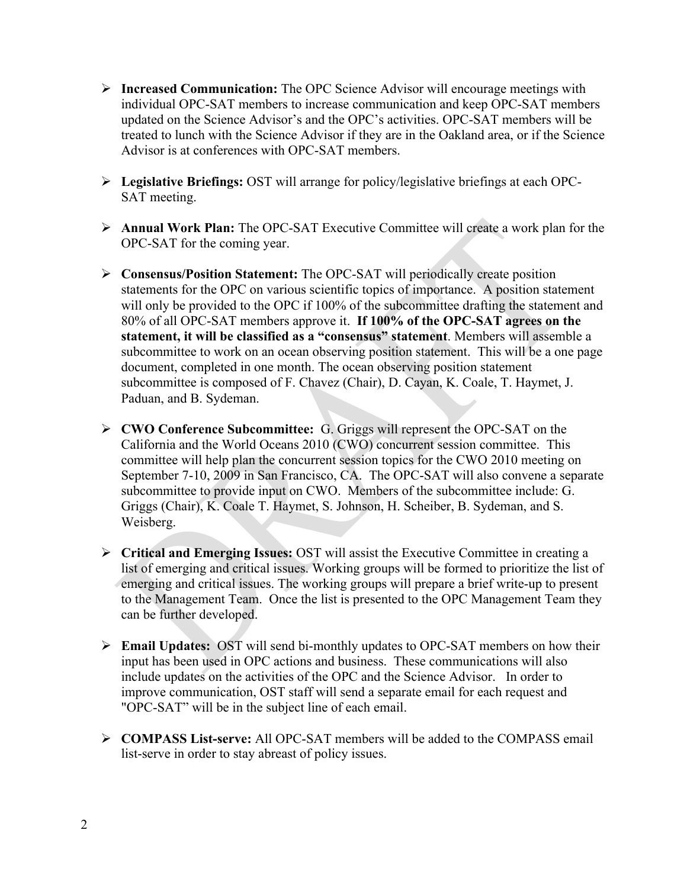- ! **Increased Communication:** The OPC Science Advisor will encourage meetings with individual OPC-SAT members to increase communication and keep OPC-SAT members updated on the Science Advisor's and the OPC's activities. OPC-SAT members will be treated to lunch with the Science Advisor if they are in the Oakland area, or if the Science Advisor is at conferences with OPC-SAT members.
- ! **Legislative Briefings:** OST will arrange for policy/legislative briefings at each OPC-SAT meeting.
- ! **Annual Work Plan:** The OPC-SAT Executive Committee will create a work plan for the OPC-SAT for the coming year.
- ! **Consensus/Position Statement:** The OPC-SAT will periodically create position statements for the OPC on various scientific topics of importance. A position statement will only be provided to the OPC if 100% of the subcommittee drafting the statement and 80% of all OPC-SAT members approve it. **If 100% of the OPC-SAT agrees on the statement, it will be classified as a "consensus" statement**. Members will assemble a subcommittee to work on an ocean observing position statement. This will be a one page document, completed in one month. The ocean observing position statement subcommittee is composed of F. Chavez (Chair), D. Cayan, K. Coale, T. Haymet, J. Paduan, and B. Sydeman.
- ! **CWO Conference Subcommittee:** G. Griggs will represent the OPC-SAT on the California and the World Oceans 2010 (CWO) concurrent session committee. This committee will help plan the concurrent session topics for the CWO 2010 meeting on September 7-10, 2009 in San Francisco, CA. The OPC-SAT will also convene a separate subcommittee to provide input on CWO. Members of the subcommittee include: G. Griggs (Chair), K. Coale T. Haymet, S. Johnson, H. Scheiber, B. Sydeman, and S. Weisberg.
- ! **Critical and Emerging Issues:** OST will assist the Executive Committee in creating a list of emerging and critical issues. Working groups will be formed to prioritize the list of emerging and critical issues. The working groups will prepare a brief write-up to present to the Management Team. Once the list is presented to the OPC Management Team they can be further developed.
- ! **Email Updates:** OST will send bi-monthly updates to OPC-SAT members on how their input has been used in OPC actions and business. These communications will also include updates on the activities of the OPC and the Science Advisor. In order to improve communication, OST staff will send a separate email for each request and "OPC-SAT" will be in the subject line of each email.
- ! **COMPASS List-serve:** All OPC-SAT members will be added to the COMPASS email list-serve in order to stay abreast of policy issues.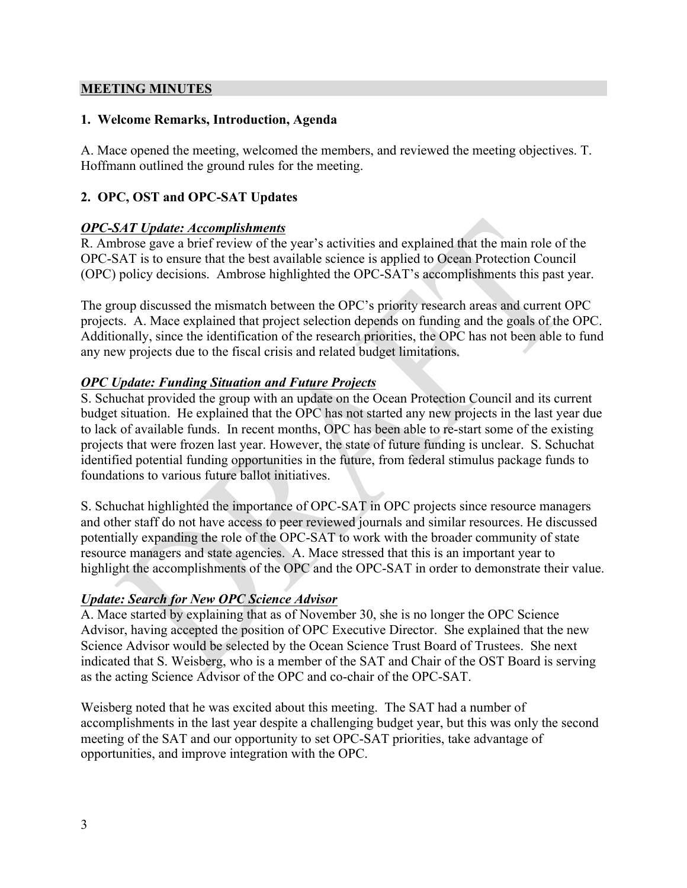#### **MEETING MINUTES**

#### **1. Welcome Remarks, Introduction, Agenda**

A. Mace opened the meeting, welcomed the members, and reviewed the meeting objectives. T. Hoffmann outlined the ground rules for the meeting.

## **2. OPC, OST and OPC-SAT Updates**

#### *OPC-SAT Update: Accomplishments*

R. Ambrose gave a brief review of the year's activities and explained that the main role of the OPC-SAT is to ensure that the best available science is applied to Ocean Protection Council (OPC) policy decisions. Ambrose highlighted the OPC-SAT's accomplishments this past year.

The group discussed the mismatch between the OPC's priority research areas and current OPC projects. A. Mace explained that project selection depends on funding and the goals of the OPC. Additionally, since the identification of the research priorities, the OPC has not been able to fund any new projects due to the fiscal crisis and related budget limitations.

## *OPC Update: Funding Situation and Future Projects*

S. Schuchat provided the group with an update on the Ocean Protection Council and its current budget situation. He explained that the OPC has not started any new projects in the last year due to lack of available funds. In recent months, OPC has been able to re-start some of the existing projects that were frozen last year. However, the state of future funding is unclear. S. Schuchat identified potential funding opportunities in the future, from federal stimulus package funds to foundations to various future ballot initiatives.

S. Schuchat highlighted the importance of OPC-SAT in OPC projects since resource managers and other staff do not have access to peer reviewed journals and similar resources. He discussed potentially expanding the role of the OPC-SAT to work with the broader community of state resource managers and state agencies. A. Mace stressed that this is an important year to highlight the accomplishments of the OPC and the OPC-SAT in order to demonstrate their value.

#### *Update: Search for New OPC Science Advisor*

A. Mace started by explaining that as of November 30, she is no longer the OPC Science Advisor, having accepted the position of OPC Executive Director. She explained that the new Science Advisor would be selected by the Ocean Science Trust Board of Trustees. She next indicated that S. Weisberg, who is a member of the SAT and Chair of the OST Board is serving as the acting Science Advisor of the OPC and co-chair of the OPC-SAT.

Weisberg noted that he was excited about this meeting. The SAT had a number of accomplishments in the last year despite a challenging budget year, but this was only the second meeting of the SAT and our opportunity to set OPC-SAT priorities, take advantage of opportunities, and improve integration with the OPC.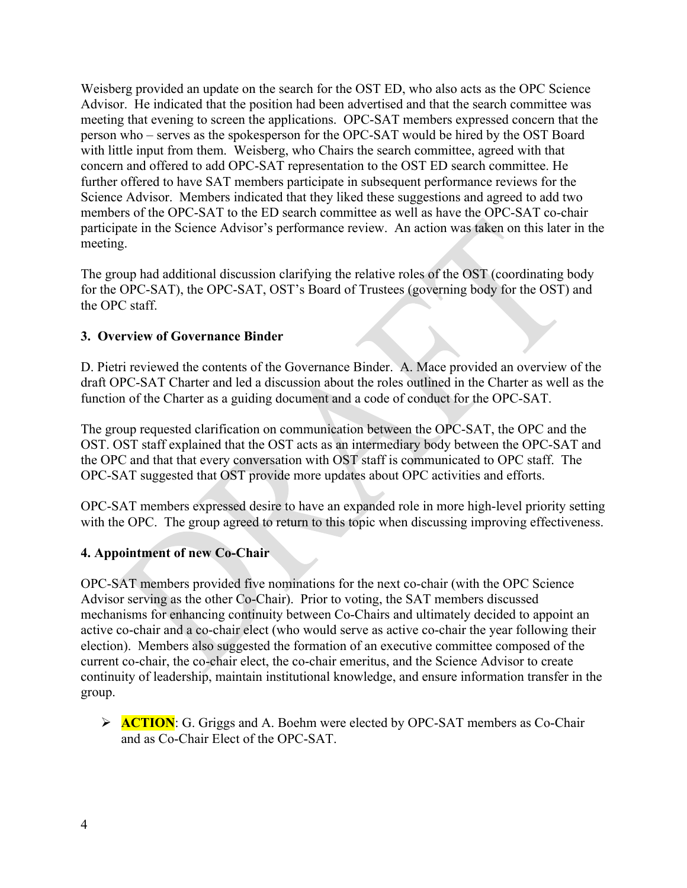Weisberg provided an update on the search for the OST ED, who also acts as the OPC Science Advisor. He indicated that the position had been advertised and that the search committee was meeting that evening to screen the applications. OPC-SAT members expressed concern that the person who – serves as the spokesperson for the OPC-SAT would be hired by the OST Board with little input from them. Weisberg, who Chairs the search committee, agreed with that concern and offered to add OPC-SAT representation to the OST ED search committee. He further offered to have SAT members participate in subsequent performance reviews for the Science Advisor. Members indicated that they liked these suggestions and agreed to add two members of the OPC-SAT to the ED search committee as well as have the OPC-SAT co-chair participate in the Science Advisor's performance review. An action was taken on this later in the meeting.

The group had additional discussion clarifying the relative roles of the OST (coordinating body for the OPC-SAT), the OPC-SAT, OST's Board of Trustees (governing body for the OST) and the OPC staff.

#### **3. Overview of Governance Binder**

D. Pietri reviewed the contents of the Governance Binder. A. Mace provided an overview of the draft OPC-SAT Charter and led a discussion about the roles outlined in the Charter as well as the function of the Charter as a guiding document and a code of conduct for the OPC-SAT.

The group requested clarification on communication between the OPC-SAT, the OPC and the OST. OST staff explained that the OST acts as an intermediary body between the OPC-SAT and the OPC and that that every conversation with OST staff is communicated to OPC staff. The OPC-SAT suggested that OST provide more updates about OPC activities and efforts.

OPC-SAT members expressed desire to have an expanded role in more high-level priority setting with the OPC. The group agreed to return to this topic when discussing improving effectiveness.

#### **4. Appointment of new Co-Chair**

OPC-SAT members provided five nominations for the next co-chair (with the OPC Science Advisor serving as the other Co-Chair). Prior to voting, the SAT members discussed mechanisms for enhancing continuity between Co-Chairs and ultimately decided to appoint an active co-chair and a co-chair elect (who would serve as active co-chair the year following their election). Members also suggested the formation of an executive committee composed of the current co-chair, the co-chair elect, the co-chair emeritus, and the Science Advisor to create continuity of leadership, maintain institutional knowledge, and ensure information transfer in the group.

**EXECTION:** G. Griggs and A. Boehm were elected by OPC-SAT members as Co-Chair and as Co-Chair Elect of the OPC-SAT.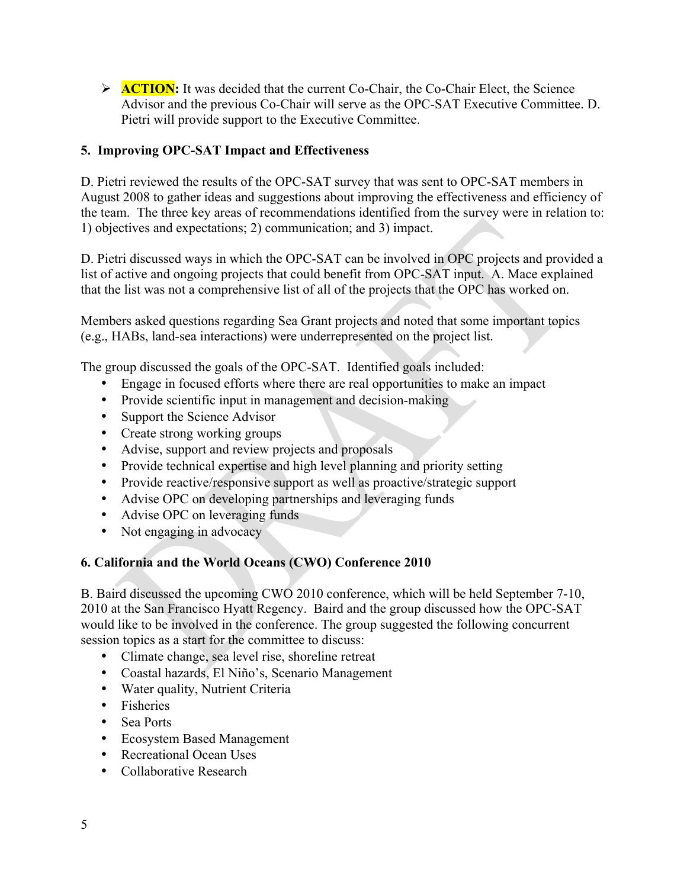**EXECTION:** It was decided that the current Co-Chair, the Co-Chair Elect, the Science Advisor and the previous Co-Chair will serve as the OPC-SAT Executive Committee. D. Pietri will provide support to the Executive Committee.

## **5. Improving OPC-SAT Impact and Effectiveness**

D. Pietri reviewed the results of the OPC-SAT survey that was sent to OPC-SAT members in August 2008 to gather ideas and suggestions about improving the effectiveness and efficiency of the team. The three key areas of recommendations identified from the survey were in relation to: 1) objectives and expectations; 2) communication; and 3) impact.

D. Pietri discussed ways in which the OPC-SAT can be involved in OPC projects and provided a list of active and ongoing projects that could benefit from OPC-SAT input. A. Mace explained that the list was not a comprehensive list of all of the projects that the OPC has worked on.

Members asked questions regarding Sea Grant projects and noted that some important topics (e.g., HABs, land-sea interactions) were underrepresented on the project list.

The group discussed the goals of the OPC-SAT. Identified goals included:

- Engage in focused efforts where there are real opportunities to make an impact
- Provide scientific input in management and decision-making
- Support the Science Advisor
- Create strong working groups
- Advise, support and review projects and proposals
- Provide technical expertise and high level planning and priority setting
- Provide reactive/responsive support as well as proactive/strategic support
- Advise OPC on developing partnerships and leveraging funds
- Advise OPC on leveraging funds
- Not engaging in advocacy

#### **6. California and the World Oceans (CWO) Conference 2010**

B. Baird discussed the upcoming CWO 2010 conference, which will be held September 7-10, 2010 at the San Francisco Hyatt Regency. Baird and the group discussed how the OPC-SAT would like to be involved in the conference. The group suggested the following concurrent session topics as a start for the committee to discuss:

- Climate change, sea level rise, shoreline retreat
- Coastal hazards, El Niño's, Scenario Management
- Water quality, Nutrient Criteria
- Fisheries
- Sea Ports
- Ecosystem Based Management
- Recreational Ocean Uses
- Collaborative Research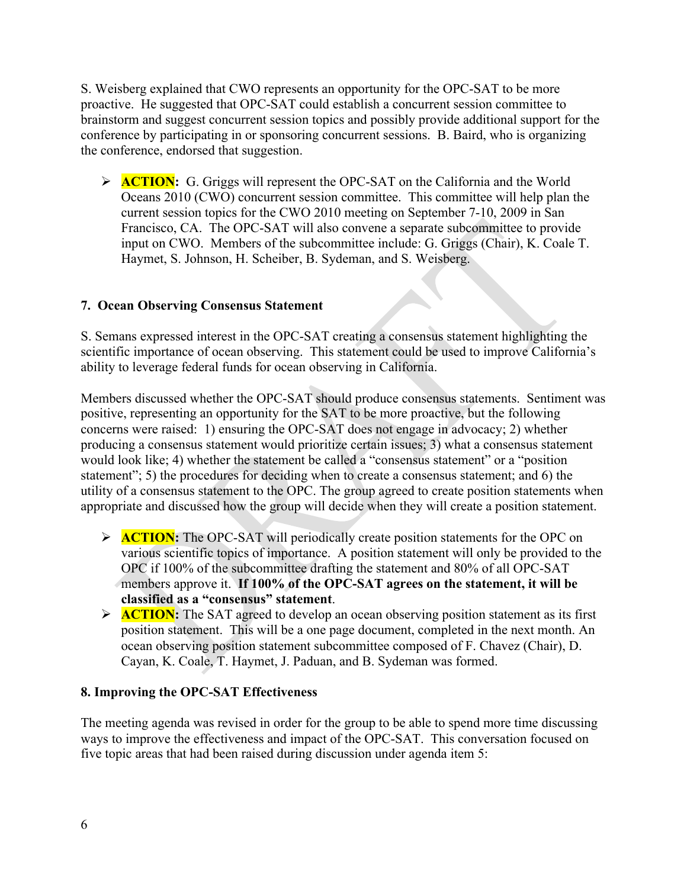S. Weisberg explained that CWO represents an opportunity for the OPC-SAT to be more proactive. He suggested that OPC-SAT could establish a concurrent session committee to brainstorm and suggest concurrent session topics and possibly provide additional support for the conference by participating in or sponsoring concurrent sessions. B. Baird, who is organizing the conference, endorsed that suggestion.

**ACTION:** G. Griggs will represent the OPC-SAT on the California and the World Oceans 2010 (CWO) concurrent session committee. This committee will help plan the current session topics for the CWO 2010 meeting on September 7-10, 2009 in San Francisco, CA. The OPC-SAT will also convene a separate subcommittee to provide input on CWO. Members of the subcommittee include: G. Griggs (Chair), K. Coale T. Haymet, S. Johnson, H. Scheiber, B. Sydeman, and S. Weisberg.

## **7. Ocean Observing Consensus Statement**

S. Semans expressed interest in the OPC-SAT creating a consensus statement highlighting the scientific importance of ocean observing. This statement could be used to improve California's ability to leverage federal funds for ocean observing in California.

Members discussed whether the OPC-SAT should produce consensus statements. Sentiment was positive, representing an opportunity for the SAT to be more proactive, but the following concerns were raised: 1) ensuring the OPC-SAT does not engage in advocacy; 2) whether producing a consensus statement would prioritize certain issues; 3) what a consensus statement would look like; 4) whether the statement be called a "consensus statement" or a "position statement"; 5) the procedures for deciding when to create a consensus statement; and 6) the utility of a consensus statement to the OPC. The group agreed to create position statements when appropriate and discussed how the group will decide when they will create a position statement.

- **ACTION:** The OPC-SAT will periodically create position statements for the OPC on various scientific topics of importance. A position statement will only be provided to the OPC if 100% of the subcommittee drafting the statement and 80% of all OPC-SAT members approve it. **If 100% of the OPC-SAT agrees on the statement, it will be classified as a "consensus" statement**.
- **EXECTION:** The SAT agreed to develop an ocean observing position statement as its first position statement. This will be a one page document, completed in the next month. An ocean observing position statement subcommittee composed of F. Chavez (Chair), D. Cayan, K. Coale, T. Haymet, J. Paduan, and B. Sydeman was formed.

#### **8. Improving the OPC-SAT Effectiveness**

The meeting agenda was revised in order for the group to be able to spend more time discussing ways to improve the effectiveness and impact of the OPC-SAT. This conversation focused on five topic areas that had been raised during discussion under agenda item 5: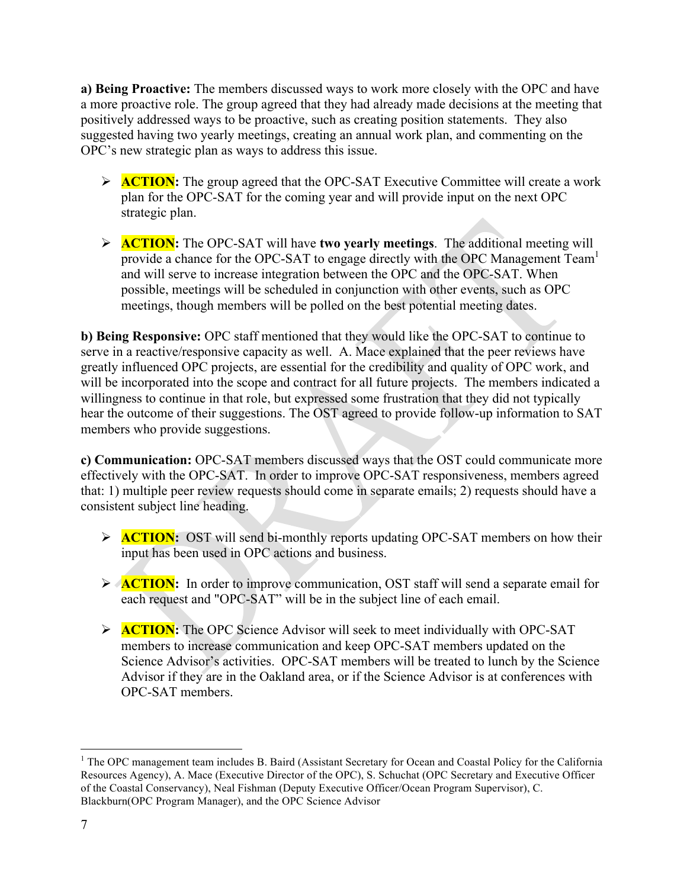**a) Being Proactive:** The members discussed ways to work more closely with the OPC and have a more proactive role. The group agreed that they had already made decisions at the meeting that positively addressed ways to be proactive, such as creating position statements. They also suggested having two yearly meetings, creating an annual work plan, and commenting on the OPC's new strategic plan as ways to address this issue.

- **ACTION:** The group agreed that the OPC-SAT Executive Committee will create a work plan for the OPC-SAT for the coming year and will provide input on the next OPC strategic plan.
- ! **ACTION:** The OPC-SAT will have **two yearly meetings**. The additional meeting will provide a chance for the OPC-SAT to engage directly with the OPC Management Team<sup>1</sup> and will serve to increase integration between the OPC and the OPC-SAT. When possible, meetings will be scheduled in conjunction with other events, such as OPC meetings, though members will be polled on the best potential meeting dates.

**b) Being Responsive:** OPC staff mentioned that they would like the OPC-SAT to continue to serve in a reactive/responsive capacity as well. A. Mace explained that the peer reviews have greatly influenced OPC projects, are essential for the credibility and quality of OPC work, and will be incorporated into the scope and contract for all future projects. The members indicated a willingness to continue in that role, but expressed some frustration that they did not typically hear the outcome of their suggestions. The OST agreed to provide follow-up information to SAT members who provide suggestions.

**c) Communication:** OPC-SAT members discussed ways that the OST could communicate more effectively with the OPC-SAT. In order to improve OPC-SAT responsiveness, members agreed that: 1) multiple peer review requests should come in separate emails; 2) requests should have a consistent subject line heading.

- **EXTION:** OST will send bi-monthly reports updating OPC-SAT members on how their input has been used in OPC actions and business.
- **ACTION:** In order to improve communication, OST staff will send a separate email for each request and "OPC-SAT" will be in the subject line of each email.
- **EXECTION:** The OPC Science Advisor will seek to meet individually with OPC-SAT members to increase communication and keep OPC-SAT members updated on the Science Advisor's activities. OPC-SAT members will be treated to lunch by the Science Advisor if they are in the Oakland area, or if the Science Advisor is at conferences with OPC-SAT members.

<sup>&</sup>lt;sup>1</sup> The OPC management team includes B. Baird (Assistant Secretary for Ocean and Coastal Policy for the California Resources Agency), A. Mace (Executive Director of the OPC), S. Schuchat (OPC Secretary and Executive Officer of the Coastal Conservancy), Neal Fishman (Deputy Executive Officer/Ocean Program Supervisor), C. Blackburn(OPC Program Manager), and the OPC Science Advisor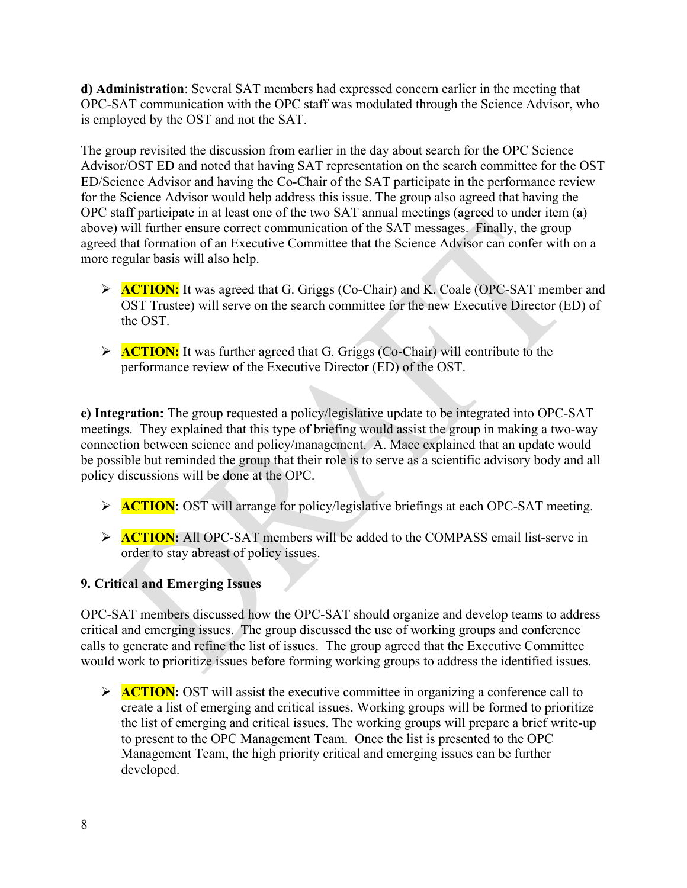**d) Administration**: Several SAT members had expressed concern earlier in the meeting that OPC-SAT communication with the OPC staff was modulated through the Science Advisor, who is employed by the OST and not the SAT.

The group revisited the discussion from earlier in the day about search for the OPC Science Advisor/OST ED and noted that having SAT representation on the search committee for the OST ED/Science Advisor and having the Co-Chair of the SAT participate in the performance review for the Science Advisor would help address this issue. The group also agreed that having the OPC staff participate in at least one of the two SAT annual meetings (agreed to under item (a) above) will further ensure correct communication of the SAT messages. Finally, the group agreed that formation of an Executive Committee that the Science Advisor can confer with on a more regular basis will also help.

- **EXECTION:** It was agreed that G. Griggs (Co-Chair) and K. Coale (OPC-SAT member and OST Trustee) will serve on the search committee for the new Executive Director (ED) of the OST.
- **ACTION:** It was further agreed that G. Griggs (Co-Chair) will contribute to the performance review of the Executive Director (ED) of the OST.

**e) Integration:** The group requested a policy/legislative update to be integrated into OPC-SAT meetings. They explained that this type of briefing would assist the group in making a two-way connection between science and policy/management. A. Mace explained that an update would be possible but reminded the group that their role is to serve as a scientific advisory body and all policy discussions will be done at the OPC.

- **EXECTION:** OST will arrange for policy/legislative briefings at each OPC-SAT meeting.
- **EXECTION:** All OPC-SAT members will be added to the COMPASS email list-serve in order to stay abreast of policy issues.

# **9. Critical and Emerging Issues**

OPC-SAT members discussed how the OPC-SAT should organize and develop teams to address critical and emerging issues. The group discussed the use of working groups and conference calls to generate and refine the list of issues. The group agreed that the Executive Committee would work to prioritize issues before forming working groups to address the identified issues.

 $\triangleright$  **ACTION:** OST will assist the executive committee in organizing a conference call to create a list of emerging and critical issues. Working groups will be formed to prioritize the list of emerging and critical issues. The working groups will prepare a brief write-up to present to the OPC Management Team. Once the list is presented to the OPC Management Team, the high priority critical and emerging issues can be further developed.